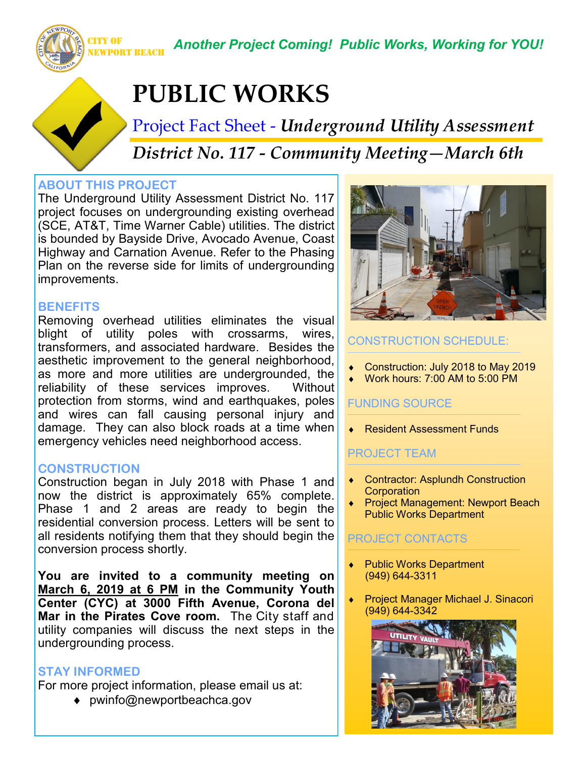CITY OF NEWPORT BEACH

*Another Project Coming! Public Works, Working for YOU!*

# **PUBLIC WORKS**

Project Fact Sheet - *Underground Utility Assessment District No. 117 - Community Meeting—March 6th*

## **ABOUT THIS PROJECT**

The Underground Utility Assessment District No. 117 project focuses on undergrounding existing overhead (SCE, AT&T, Time Warner Cable) utilities. The district is bounded by Bayside Drive, Avocado Avenue, Coast Highway and Carnation Avenue. Refer to the Phasing Plan on the reverse side for limits of undergrounding improvements.

#### **BENEFITS**

Removing overhead utilities eliminates the visual blight of utility poles with crossarms, wires, transformers, and associated hardware. Besides the aesthetic improvement to the general neighborhood, as more and more utilities are undergrounded, the reliability of these services improves. Without protection from storms, wind and earthquakes, poles and wires can fall causing personal injury and damage. They can also block roads at a time when emergency vehicles need neighborhood access.

#### **CONSTRUCTION**

Construction began in July 2018 with Phase 1 and now the district is approximately 65% complete. Phase 1 and 2 areas are ready to begin the residential conversion process. Letters will be sent to all residents notifying them that they should begin the conversion process shortly.

**You are invited to a community meeting on March 6, 2019 at 6 PM in the Community Youth Center (CYC) at 3000 Fifth Avenue, Corona del Mar in the Pirates Cove room.** The City staff and utility companies will discuss the next steps in the undergrounding process.

#### **STAY INFORMED**

For more project information, please email us at:

◆ pwinfo@newportbeachca.gov



## CONSTRUCTION SCHEDULE:

- Construction: July 2018 to May 2019
- Work hours: 7:00 AM to 5:00 PM

#### FUNDING SOURCE

◆ Resident Assessment Funds

## PROJECT TEAM

- Contractor: Asplundh Construction **Corporation**
- Project Management: Newport Beach Public Works Department

## PROJECT CONTACTS

- Public Works Department (949) 644-3311
- Project Manager Michael J. Sinacori (949) 644-3342